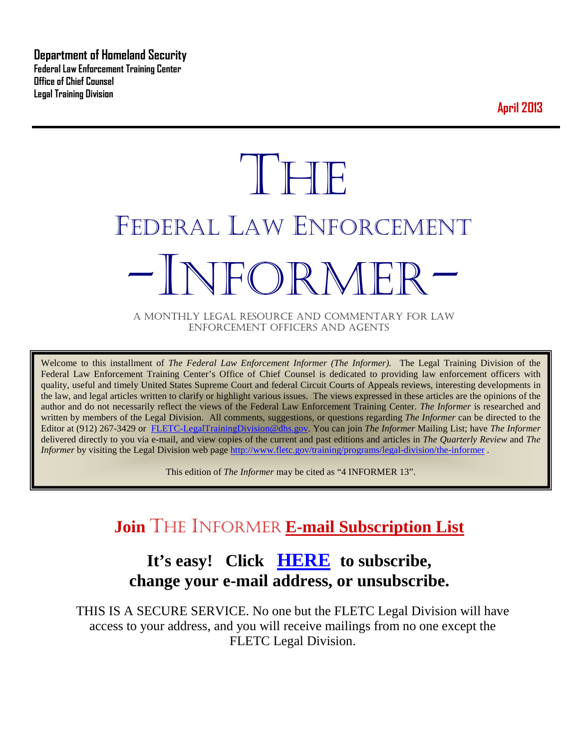**Department of Homeland Security Federal Law Enforcement Training Center Office of Chief Counsel Legal Training Division** 

**April 2013**

# **THE** FEDERAL LAW ENFORCEMENT -INFORMER- A MONTHLY LEGAL RESOURCE AND COMMENTARY FOR LAW

ENFORCEMENT OFFICERS AND AGENTS

Welcome to this installment of *The Federal Law Enforcement Informer (The Informer).* The Legal Training Division of the Federal Law Enforcement Training Center's Office of Chief Counsel is dedicated to providing law enforcement officers with quality, useful and timely United States Supreme Court and federal Circuit Courts of Appeals reviews, interesting developments in the law, and legal articles written to clarify or highlight various issues. The views expressed in these articles are the opinions of the author and do not necessarily reflect the views of the Federal Law Enforcement Training Center. *The Informer* is researched and written by members of the Legal Division. All comments, suggestions, or questions regarding *The Informer* can be directed to the Editor at (912) 267-3429 or [FLETC-LegalTrainingDivision@dhs.gov.](mailto:FLETC-LegalTrainingDivision@dhs.gov) You can join *The Informer* Mailing List; have *The Informer* delivered directly to you via e-mail, and view copies of the current and past editions and articles in *The Quarterly Review* and *The Informer* by visiting the Legal Division web page<http://www.fletc.gov/training/programs/legal-division/the-informer>.

This edition of *The Informer* may be cited as "4 INFORMER 13".

# **Join** THE INFORMER **E-mail Subscription List**

## **It's easy! Click [HERE](http://peach.ease.lsoft.com/scripts/wa.exe?SUBED1=fletclgd&A=1) to subscribe, change your e-mail address, or unsubscribe.**

THIS IS A SECURE SERVICE. No one but the FLETC Legal Division will have access to your address, and you will receive mailings from no one except the FLETC Legal Division.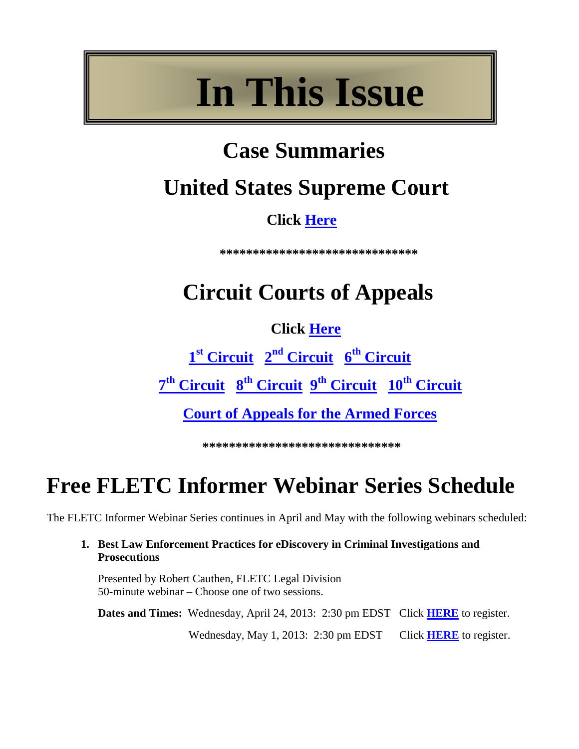# **In This Issue**

# **Case Summaries**

# **United States Supreme Court**

# **Click [Here](#page-3-0)**

**\*\*\*\*\*\*\*\*\*\*\*\*\*\*\*\*\*\*\*\*\*\*\*\*\*\*\*\*\*\***

# **Circuit Courts of Appeals**

## **Click [Here](#page-4-0)**

 **1st [Circuit](#page-4-1) 2nd [Circuit](#page-5-0) 6th [Circuit](#page-6-0)  7th [Circuit](#page-7-0) 8th [Circuit](#page-8-0) 9th [Circuit](#page-11-0) 10th [Circuit](#page-13-0)**

**[Court of Appeals for the Armed Forces](#page-14-0)**

\*\*\*\*\*\*\*\*\*\*\*\*\*\*\*\*\*\*\*\*\*\*\*\*\*

# **Free FLETC Informer Webinar Series Schedule**

The FLETC Informer Webinar Series continues in April and May with the following webinars scheduled:

**1. Best Law Enforcement Practices for eDiscovery in Criminal Investigations and Prosecutions**

Presented by Robert Cauthen, FLETC Legal Division 50-minute webinar – Choose one of two sessions.

**Dates and Times:** Wednesday, April 24, 2013: 2:30 pm EDST Click **[HERE](http://connect.hsin.gov/ediscovery042413/event/registration.html)** to register.

Wednesday, May 1, 2013: 2:30 pm EDST Click **[HERE](http://connect.hsin.gov/fletclgd0501event/event/registration.html)** to register.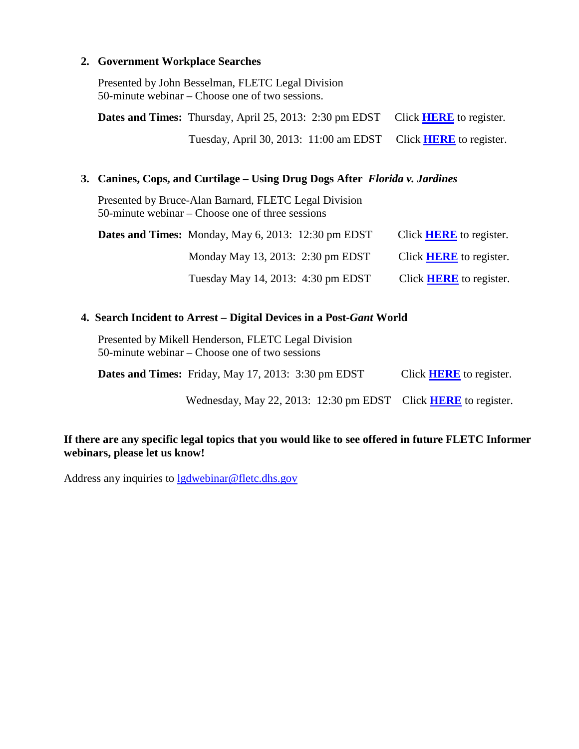#### **2. Government Workplace Searches**

Presented by John Besselman, FLETC Legal Division 50-minute webinar – Choose one of two sessions.

**Dates and Times:** Thursday, April 25, 2013: 2:30 pm EDST Click **[HERE](http://connect.hsin.gov/fletclgd0425event/event/registration.html)** to register. Tuesday, April 30, 2013: 11:00 am EDST Click **[HERE](http://connect.hsin.gov/fletclgd0430event/event/registration.html)** to register.

#### **3. Canines, Cops, and Curtilage – Using Drug Dogs After** *Florida v. Jardines*

Presented by Bruce-Alan Barnard, FLETC Legal Division 50-minute webinar – Choose one of three sessions

| <b>Dates and Times:</b> Monday, May 6, 2013: $12:30 \text{ pm} \text{EDST}$ | Click <b>HERE</b> to register. |
|-----------------------------------------------------------------------------|--------------------------------|
| Monday May 13, 2013: 2:30 pm EDST                                           | Click <b>HERE</b> to register. |
| Tuesday May 14, 2013: 4:30 pm EDST                                          | Click <b>HERE</b> to register. |

#### **4. Search Incident to Arrest – Digital Devices in a Post-***Gant* **World**

Presented by Mikell Henderson, FLETC Legal Division 50-minute webinar – Choose one of two sessions

**Dates and Times:** Friday, May 17, 2013: 3:30 pm EDST Click **[HERE](http://connect.hsin.gov/fletclgd0517event/event/registration.html)** to register.

Wednesday, May 22, 2013: 12:30 pm EDST Click **[HERE](http://connect.hsin.gov/fletclgd0515event/event/registration.html)** to register.

#### **If there are any specific legal topics that you would like to see offered in future FLETC Informer webinars, please let us know!**

Address any inquiries to [lgdwebinar@fletc.dhs.gov](mailto:lgdwebinar@fletc.dhs.gov)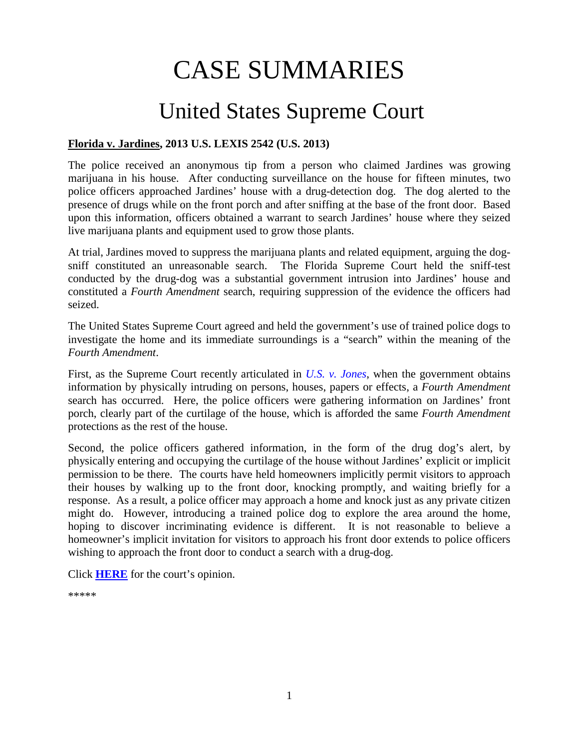# CASE SUMMARIES

# <span id="page-3-0"></span>United States Supreme Court

#### **Florida v. Jardines, 2013 U.S. LEXIS 2542 (U.S. 2013)**

The police received an anonymous tip from a person who claimed Jardines was growing marijuana in his house. After conducting surveillance on the house for fifteen minutes, two police officers approached Jardines' house with a drug-detection dog. The dog alerted to the presence of drugs while on the front porch and after sniffing at the base of the front door. Based upon this information, officers obtained a warrant to search Jardines' house where they seized live marijuana plants and equipment used to grow those plants.

At trial, Jardines moved to suppress the marijuana plants and related equipment, arguing the dogsniff constituted an unreasonable search. The Florida Supreme Court held the sniff-test conducted by the drug-dog was a substantial government intrusion into Jardines' house and constituted a *Fourth Amendment* search, requiring suppression of the evidence the officers had seized.

The United States Supreme Court agreed and held the government's use of trained police dogs to investigate the home and its immediate surroundings is a "search" within the meaning of the *Fourth Amendment*.

First, as the Supreme Court recently articulated in *[U.S. v. Jones](http://www.supremecourt.gov/opinions/11pdf/10-1259.pdf)*, when the government obtains information by physically intruding on persons, houses, papers or effects, a *Fourth Amendment* search has occurred. Here, the police officers were gathering information on Jardines' front porch, clearly part of the curtilage of the house, which is afforded the same *Fourth Amendment*  protections as the rest of the house.

Second, the police officers gathered information, in the form of the drug dog's alert, by physically entering and occupying the curtilage of the house without Jardines' explicit or implicit permission to be there. The courts have held homeowners implicitly permit visitors to approach their houses by walking up to the front door, knocking promptly, and waiting briefly for a response. As a result, a police officer may approach a home and knock just as any private citizen might do. However, introducing a trained police dog to explore the area around the home, hoping to discover incriminating evidence is different. It is not reasonable to believe a homeowner's implicit invitation for visitors to approach his front door extends to police officers wishing to approach the front door to conduct a search with a drug-dog.

Click **[HERE](http://www.supremecourt.gov/opinions/12pdf/11-564_5426.pdf)** for the court's opinion.

\*\*\*\*\*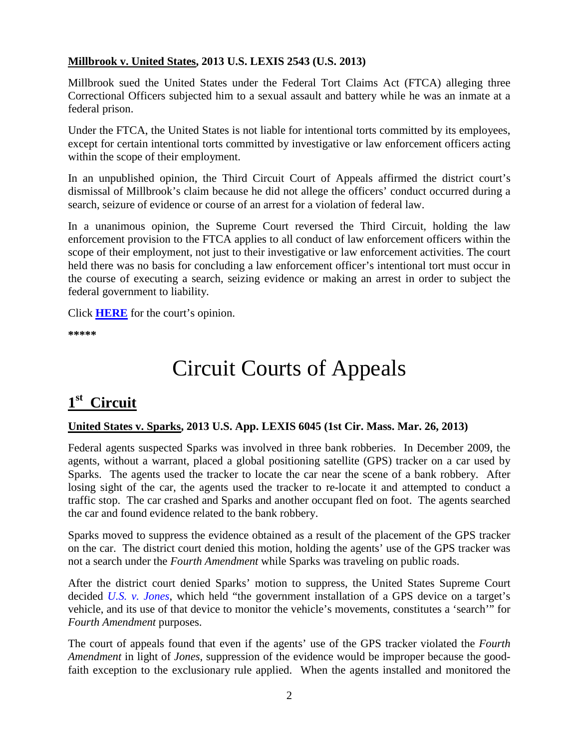#### **Millbrook v. United States, 2013 U.S. LEXIS 2543 (U.S. 2013)**

Millbrook sued the United States under the Federal Tort Claims Act (FTCA) alleging three Correctional Officers subjected him to a sexual assault and battery while he was an inmate at a federal prison.

Under the FTCA, the United States is not liable for intentional torts committed by its employees, except for certain intentional torts committed by investigative or law enforcement officers acting within the scope of their employment.

In an unpublished opinion, the Third Circuit Court of Appeals affirmed the district court's dismissal of Millbrook's claim because he did not allege the officers' conduct occurred during a search, seizure of evidence or course of an arrest for a violation of federal law.

In a unanimous opinion, the Supreme Court reversed the Third Circuit, holding the law enforcement provision to the FTCA applies to all conduct of law enforcement officers within the scope of their employment, not just to their investigative or law enforcement activities. The court held there was no basis for concluding a law enforcement officer's intentional tort must occur in the course of executing a search, seizing evidence or making an arrest in order to subject the federal government to liability.

Click **[HERE](http://www.supremecourt.gov/opinions/12pdf/11-10362_2d9g.pdf)** for the court's opinion.

<span id="page-4-0"></span>**\*\*\*\*\***

# Circuit Courts of Appeals

## <span id="page-4-1"></span>**1st Circuit**

#### **United States v. Sparks, 2013 U.S. App. LEXIS 6045 (1st Cir. Mass. Mar. 26, 2013)**

Federal agents suspected Sparks was involved in three bank robberies. In December 2009, the agents, without a warrant, placed a global positioning satellite (GPS) tracker on a car used by Sparks. The agents used the tracker to locate the car near the scene of a bank robbery. After losing sight of the car, the agents used the tracker to re-locate it and attempted to conduct a traffic stop. The car crashed and Sparks and another occupant fled on foot. The agents searched the car and found evidence related to the bank robbery.

Sparks moved to suppress the evidence obtained as a result of the placement of the GPS tracker on the car. The district court denied this motion, holding the agents' use of the GPS tracker was not a search under the *Fourth Amendment* while Sparks was traveling on public roads.

After the district court denied Sparks' motion to suppress, the United States Supreme Court decided *[U.S. v. Jones](http://www.supremecourt.gov/opinions/11pdf/10-1259.pdf)*, which held "the government installation of a GPS device on a target's vehicle, and its use of that device to monitor the vehicle's movements, constitutes a 'search'" for *Fourth Amendment* purposes.

The court of appeals found that even if the agents' use of the GPS tracker violated the *Fourth Amendment* in light of *Jones*, suppression of the evidence would be improper because the goodfaith exception to the exclusionary rule applied. When the agents installed and monitored the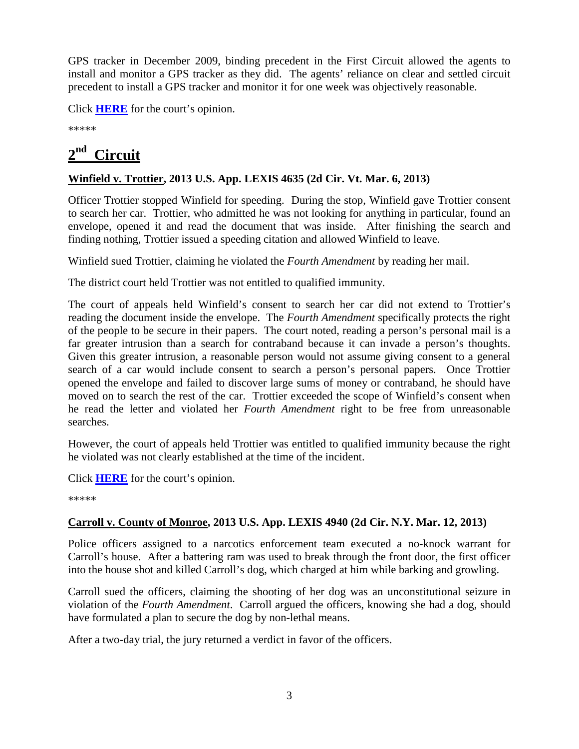GPS tracker in December 2009, binding precedent in the First Circuit allowed the agents to install and monitor a GPS tracker as they did. The agents' reliance on clear and settled circuit precedent to install a GPS tracker and monitor it for one week was objectively reasonable.

Click **[HERE](http://docs.justia.com/cases/federal/appellate-courts/ca1/11-1134/11-1134-2013-03-26.pdf)** for the court's opinion.

\*\*\*\*\*

# <span id="page-5-0"></span>**2nd Circuit**

#### **Winfield v. Trottier, 2013 U.S. App. LEXIS 4635 (2d Cir. Vt. Mar. 6, 2013)**

Officer Trottier stopped Winfield for speeding. During the stop, Winfield gave Trottier consent to search her car. Trottier, who admitted he was not looking for anything in particular, found an envelope, opened it and read the document that was inside. After finishing the search and finding nothing, Trottier issued a speeding citation and allowed Winfield to leave.

Winfield sued Trottier, claiming he violated the *Fourth Amendment* by reading her mail.

The district court held Trottier was not entitled to qualified immunity.

The court of appeals held Winfield's consent to search her car did not extend to Trottier's reading the document inside the envelope. The *Fourth Amendment* specifically protects the right of the people to be secure in their papers. The court noted, reading a person's personal mail is a far greater intrusion than a search for contraband because it can invade a person's thoughts. Given this greater intrusion, a reasonable person would not assume giving consent to a general search of a car would include consent to search a person's personal papers. Once Trottier opened the envelope and failed to discover large sums of money or contraband, he should have moved on to search the rest of the car. Trottier exceeded the scope of Winfield's consent when he read the letter and violated her *Fourth Amendment* right to be free from unreasonable searches.

However, the court of appeals held Trottier was entitled to qualified immunity because the right he violated was not clearly established at the time of the incident.

Click **[HERE](http://docs.justia.com/cases/federal/appellate-courts/ca2/11-4404/11-4404-2013-03-06.pdf)** for the court's opinion.

\*\*\*\*\*

#### **Carroll v. County of Monroe, 2013 U.S. App. LEXIS 4940 (2d Cir. N.Y. Mar. 12, 2013)**

Police officers assigned to a narcotics enforcement team executed a no-knock warrant for Carroll's house. After a battering ram was used to break through the front door, the first officer into the house shot and killed Carroll's dog, which charged at him while barking and growling.

Carroll sued the officers, claiming the shooting of her dog was an unconstitutional seizure in violation of the *Fourth Amendment*. Carroll argued the officers, knowing she had a dog, should have formulated a plan to secure the dog by non-lethal means.

After a two-day trial, the jury returned a verdict in favor of the officers.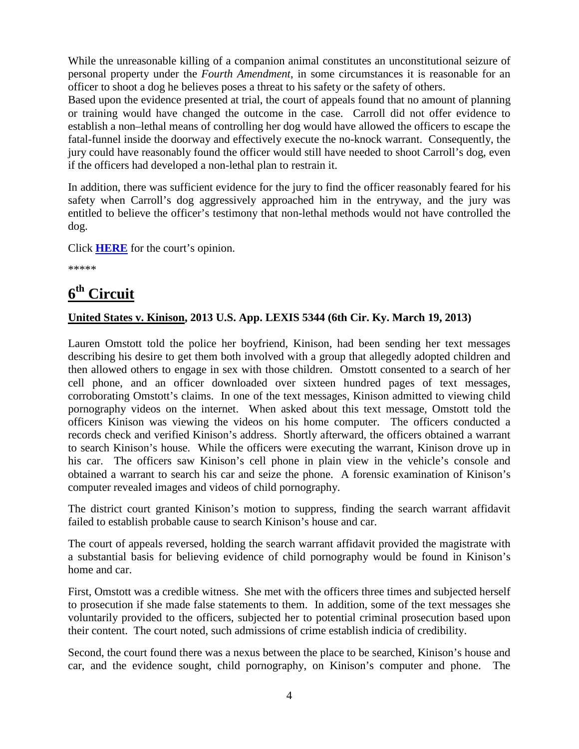While the unreasonable killing of a companion animal constitutes an unconstitutional seizure of personal property under the *Fourth Amendment*, in some circumstances it is reasonable for an officer to shoot a dog he believes poses a threat to his safety or the safety of others.

Based upon the evidence presented at trial, the court of appeals found that no amount of planning or training would have changed the outcome in the case. Carroll did not offer evidence to establish a non–lethal means of controlling her dog would have allowed the officers to escape the fatal-funnel inside the doorway and effectively execute the no-knock warrant. Consequently, the jury could have reasonably found the officer would still have needed to shoot Carroll's dog, even if the officers had developed a non-lethal plan to restrain it.

In addition, there was sufficient evidence for the jury to find the officer reasonably feared for his safety when Carroll's dog aggressively approached him in the entryway, and the jury was entitled to believe the officer's testimony that non-lethal methods would not have controlled the dog.

Click **[HERE](http://docs.justia.com/cases/federal/appellate-courts/ca2/12-975/12-975-2013-03-12.pdf)** for the court's opinion.

\*\*\*\*\*

## <span id="page-6-0"></span>**6th Circuit**

#### **United States v. Kinison, 2013 U.S. App. LEXIS 5344 (6th Cir. Ky. March 19, 2013)**

Lauren Omstott told the police her boyfriend, Kinison, had been sending her text messages describing his desire to get them both involved with a group that allegedly adopted children and then allowed others to engage in sex with those children. Omstott consented to a search of her cell phone, and an officer downloaded over sixteen hundred pages of text messages, corroborating Omstott's claims. In one of the text messages, Kinison admitted to viewing child pornography videos on the internet. When asked about this text message, Omstott told the officers Kinison was viewing the videos on his home computer. The officers conducted a records check and verified Kinison's address. Shortly afterward, the officers obtained a warrant to search Kinison's house. While the officers were executing the warrant, Kinison drove up in his car. The officers saw Kinison's cell phone in plain view in the vehicle's console and obtained a warrant to search his car and seize the phone. A forensic examination of Kinison's computer revealed images and videos of child pornography.

The district court granted Kinison's motion to suppress, finding the search warrant affidavit failed to establish probable cause to search Kinison's house and car.

The court of appeals reversed, holding the search warrant affidavit provided the magistrate with a substantial basis for believing evidence of child pornography would be found in Kinison's home and car.

First, Omstott was a credible witness. She met with the officers three times and subjected herself to prosecution if she made false statements to them. In addition, some of the text messages she voluntarily provided to the officers, subjected her to potential criminal prosecution based upon their content. The court noted, such admissions of crime establish indicia of credibility.

Second, the court found there was a nexus between the place to be searched, Kinison's house and car, and the evidence sought, child pornography, on Kinison's computer and phone. The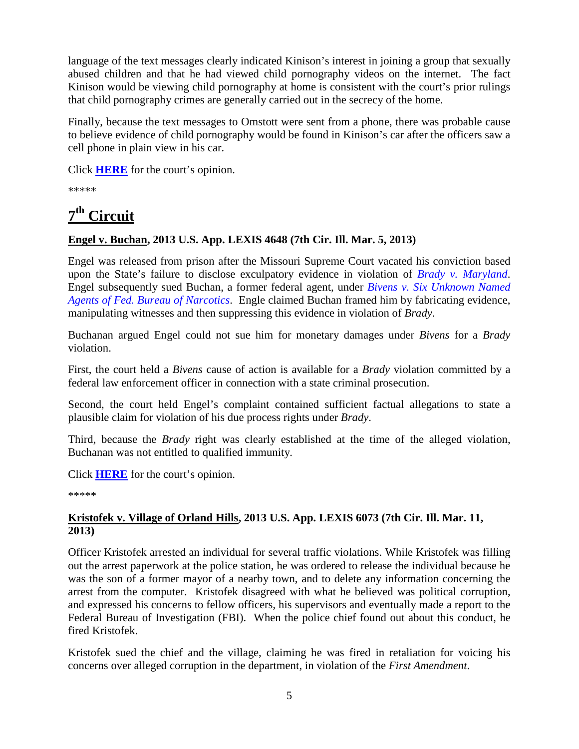language of the text messages clearly indicated Kinison's interest in joining a group that sexually abused children and that he had viewed child pornography videos on the internet. The fact Kinison would be viewing child pornography at home is consistent with the court's prior rulings that child pornography crimes are generally carried out in the secrecy of the home.

Finally, because the text messages to Omstott were sent from a phone, there was probable cause to believe evidence of child pornography would be found in Kinison's car after the officers saw a cell phone in plain view in his car.

Click **[HERE](http://docs.justia.com/cases/federal/appellate-courts/ca6/12-5997/12-5997-2013-03-19.pdf)** for the court's opinion.

\*\*\*\*\*

## <span id="page-7-0"></span>**7th Circuit**

#### **Engel v. Buchan, 2013 U.S. App. LEXIS 4648 (7th Cir. Ill. Mar. 5, 2013)**

Engel was released from prison after the Missouri Supreme Court vacated his conviction based upon the State's failure to disclose exculpatory evidence in violation of *[Brady v. Maryland](http://supreme.justia.com/cases/federal/us/373/83/case.html)*. Engel subsequently sued Buchan, a former federal agent, under *[Bivens v. Six Unknown Named](http://supreme.justia.com/cases/federal/us/403/388/case.html)  [Agents of Fed. Bureau of Narcotics](http://supreme.justia.com/cases/federal/us/403/388/case.html)*. Engle claimed Buchan framed him by fabricating evidence, manipulating witnesses and then suppressing this evidence in violation of *Brady*.

Buchanan argued Engel could not sue him for monetary damages under *Bivens* for a *Brady* violation.

First, the court held a *Bivens* cause of action is available for a *Brady* violation committed by a federal law enforcement officer in connection with a state criminal prosecution.

Second, the court held Engel's complaint contained sufficient factual allegations to state a plausible claim for violation of his due process rights under *Brady*.

Third, because the *Brady* right was clearly established at the time of the alleged violation, Buchanan was not entitled to qualified immunity.

Click **[HERE](http://docs.justia.com/cases/federal/appellate-courts/ca7/11-1734/11-1734-2013-03-05.pdf)** for the court's opinion.

\*\*\*\*\*

#### **Kristofek v. Village of Orland Hills, 2013 U.S. App. LEXIS 6073 (7th Cir. Ill. Mar. 11, 2013)**

Officer Kristofek arrested an individual for several traffic violations. While Kristofek was filling out the arrest paperwork at the police station, he was ordered to release the individual because he was the son of a former mayor of a nearby town, and to delete any information concerning the arrest from the computer. Kristofek disagreed with what he believed was political corruption, and expressed his concerns to fellow officers, his supervisors and eventually made a report to the Federal Bureau of Investigation (FBI). When the police chief found out about this conduct, he fired Kristofek.

Kristofek sued the chief and the village, claiming he was fired in retaliation for voicing his concerns over alleged corruption in the department, in violation of the *First Amendment*.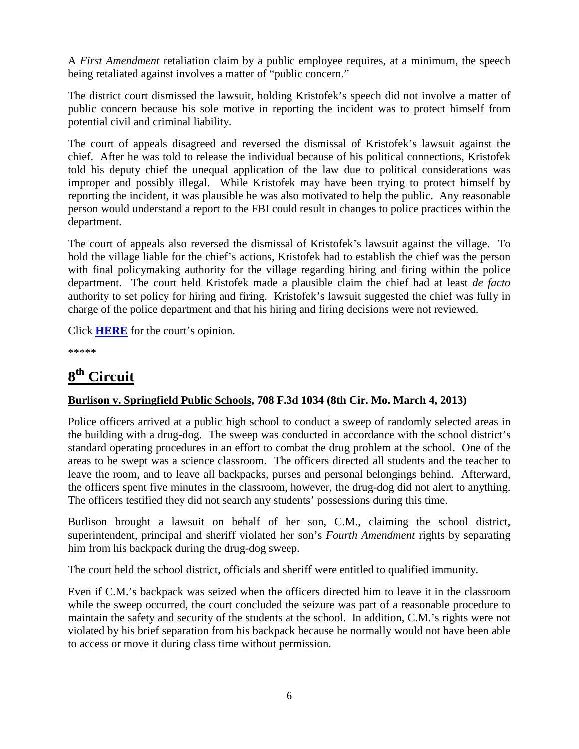A *First Amendment* retaliation claim by a public employee requires, at a minimum, the speech being retaliated against involves a matter of "public concern."

The district court dismissed the lawsuit, holding Kristofek's speech did not involve a matter of public concern because his sole motive in reporting the incident was to protect himself from potential civil and criminal liability.

The court of appeals disagreed and reversed the dismissal of Kristofek's lawsuit against the chief. After he was told to release the individual because of his political connections, Kristofek told his deputy chief the unequal application of the law due to political considerations was improper and possibly illegal. While Kristofek may have been trying to protect himself by reporting the incident, it was plausible he was also motivated to help the public. Any reasonable person would understand a report to the FBI could result in changes to police practices within the department.

The court of appeals also reversed the dismissal of Kristofek's lawsuit against the village. To hold the village liable for the chief's actions, Kristofek had to establish the chief was the person with final policymaking authority for the village regarding hiring and firing within the police department. The court held Kristofek made a plausible claim the chief had at least *de facto* authority to set policy for hiring and firing. Kristofek's lawsuit suggested the chief was fully in charge of the police department and that his hiring and firing decisions were not reviewed.

Click **[HERE](http://docs.justia.com/cases/federal/appellate-courts/ca7/12-2345/12-2345-2013-03-11.pdf)** for the court's opinion.

\*\*\*\*\*

## <span id="page-8-0"></span>**8th Circuit**

#### **Burlison v. Springfield Public Schools, 708 F.3d 1034 (8th Cir. Mo. March 4, 2013)**

Police officers arrived at a public high school to conduct a sweep of randomly selected areas in the building with a drug-dog. The sweep was conducted in accordance with the school district's standard operating procedures in an effort to combat the drug problem at the school. One of the areas to be swept was a science classroom. The officers directed all students and the teacher to leave the room, and to leave all backpacks, purses and personal belongings behind. Afterward, the officers spent five minutes in the classroom, however, the drug-dog did not alert to anything. The officers testified they did not search any students' possessions during this time.

Burlison brought a lawsuit on behalf of her son, C.M., claiming the school district, superintendent, principal and sheriff violated her son's *Fourth Amendment* rights by separating him from his backpack during the drug-dog sweep.

The court held the school district, officials and sheriff were entitled to qualified immunity.

Even if C.M.'s backpack was seized when the officers directed him to leave it in the classroom while the sweep occurred, the court concluded the seizure was part of a reasonable procedure to maintain the safety and security of the students at the school. In addition, C.M.'s rights were not violated by his brief separation from his backpack because he normally would not have been able to access or move it during class time without permission.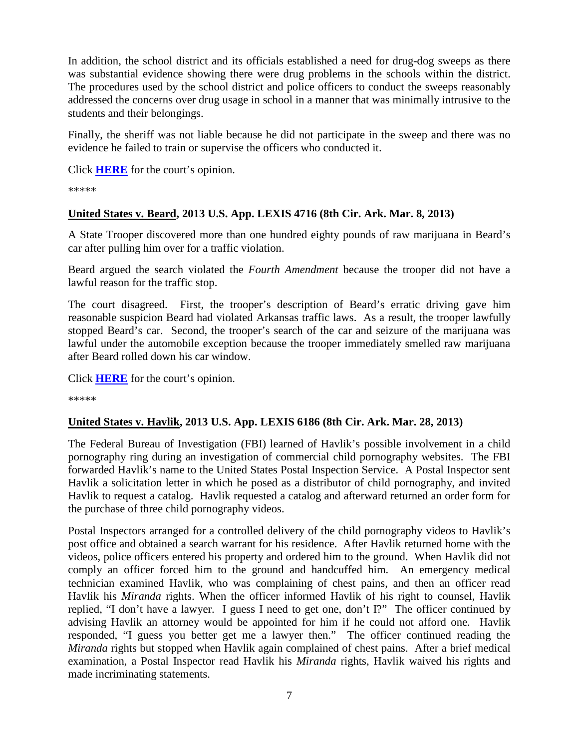In addition, the school district and its officials established a need for drug-dog sweeps as there was substantial evidence showing there were drug problems in the schools within the district. The procedures used by the school district and police officers to conduct the sweeps reasonably addressed the concerns over drug usage in school in a manner that was minimally intrusive to the students and their belongings.

Finally, the sheriff was not liable because he did not participate in the sweep and there was no evidence he failed to train or supervise the officers who conducted it.

Click **[HERE](http://docs.justia.com/cases/federal/appellate-courts/ca8/12-1382/12-1382-2013-03-04.pdf)** for the court's opinion.

\*\*\*\*\*

#### **United States v. Beard, 2013 U.S. App. LEXIS 4716 (8th Cir. Ark. Mar. 8, 2013)**

A State Trooper discovered more than one hundred eighty pounds of raw marijuana in Beard's car after pulling him over for a traffic violation.

Beard argued the search violated the *Fourth Amendment* because the trooper did not have a lawful reason for the traffic stop.

The court disagreed. First, the trooper's description of Beard's erratic driving gave him reasonable suspicion Beard had violated Arkansas traffic laws. As a result, the trooper lawfully stopped Beard's car. Second, the trooper's search of the car and seizure of the marijuana was lawful under the automobile exception because the trooper immediately smelled raw marijuana after Beard rolled down his car window.

Click **[HERE](http://docs.justia.com/cases/federal/appellate-courts/ca8/11-3311/11-3311-2013-03-08.pdf)** for the court's opinion.

\*\*\*\*\*

#### **United States v. Havlik, 2013 U.S. App. LEXIS 6186 (8th Cir. Ark. Mar. 28, 2013)**

The Federal Bureau of Investigation (FBI) learned of Havlik's possible involvement in a child pornography ring during an investigation of commercial child pornography websites. The FBI forwarded Havlik's name to the United States Postal Inspection Service. A Postal Inspector sent Havlik a solicitation letter in which he posed as a distributor of child pornography, and invited Havlik to request a catalog. Havlik requested a catalog and afterward returned an order form for the purchase of three child pornography videos.

Postal Inspectors arranged for a controlled delivery of the child pornography videos to Havlik's post office and obtained a search warrant for his residence. After Havlik returned home with the videos, police officers entered his property and ordered him to the ground. When Havlik did not comply an officer forced him to the ground and handcuffed him. An emergency medical technician examined Havlik, who was complaining of chest pains, and then an officer read Havlik his *Miranda* rights. When the officer informed Havlik of his right to counsel, Havlik replied, "I don't have a lawyer. I guess I need to get one, don't I?" The officer continued by advising Havlik an attorney would be appointed for him if he could not afford one. Havlik responded, "I guess you better get me a lawyer then." The officer continued reading the *Miranda* rights but stopped when Havlik again complained of chest pains. After a brief medical examination, a Postal Inspector read Havlik his *Miranda* rights, Havlik waived his rights and made incriminating statements.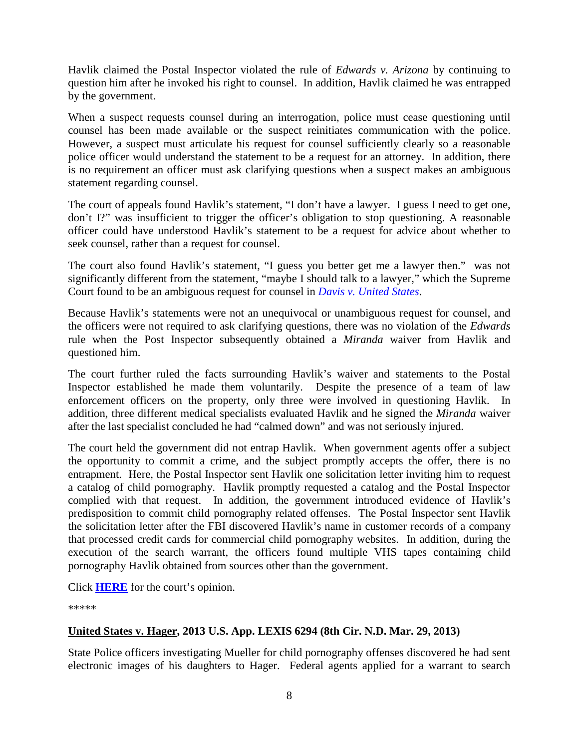Havlik claimed the Postal Inspector violated the rule of *Edwards v. Arizona* by continuing to question him after he invoked his right to counsel. In addition, Havlik claimed he was entrapped by the government.

When a suspect requests counsel during an interrogation, police must cease questioning until counsel has been made available or the suspect reinitiates communication with the police. However, a suspect must articulate his request for counsel sufficiently clearly so a reasonable police officer would understand the statement to be a request for an attorney. In addition, there is no requirement an officer must ask clarifying questions when a suspect makes an ambiguous statement regarding counsel.

The court of appeals found Havlik's statement, "I don't have a lawyer. I guess I need to get one, don't I?" was insufficient to trigger the officer's obligation to stop questioning. A reasonable officer could have understood Havlik's statement to be a request for advice about whether to seek counsel, rather than a request for counsel.

The court also found Havlik's statement, "I guess you better get me a lawyer then." was not significantly different from the statement, "maybe I should talk to a lawyer," which the Supreme Court found to be an ambiguous request for counsel in *[Davis v. United States](http://supreme.justia.com/cases/federal/us/512/452/)*.

Because Havlik's statements were not an unequivocal or unambiguous request for counsel, and the officers were not required to ask clarifying questions, there was no violation of the *Edwards* rule when the Post Inspector subsequently obtained a *Miranda* waiver from Havlik and questioned him.

The court further ruled the facts surrounding Havlik's waiver and statements to the Postal Inspector established he made them voluntarily. Despite the presence of a team of law enforcement officers on the property, only three were involved in questioning Havlik. In addition, three different medical specialists evaluated Havlik and he signed the *Miranda* waiver after the last specialist concluded he had "calmed down" and was not seriously injured.

The court held the government did not entrap Havlik. When government agents offer a subject the opportunity to commit a crime, and the subject promptly accepts the offer, there is no entrapment. Here, the Postal Inspector sent Havlik one solicitation letter inviting him to request a catalog of child pornography. Havlik promptly requested a catalog and the Postal Inspector complied with that request. In addition, the government introduced evidence of Havlik's predisposition to commit child pornography related offenses. The Postal Inspector sent Havlik the solicitation letter after the FBI discovered Havlik's name in customer records of a company that processed credit cards for commercial child pornography websites. In addition, during the execution of the search warrant, the officers found multiple VHS tapes containing child pornography Havlik obtained from sources other than the government.

Click **[HERE](http://docs.justia.com/cases/federal/appellate-courts/ca8/12-1294/12-1294-2013-03-28.pdf)** for the court's opinion.

\*\*\*\*\*

#### **United States v. Hager, 2013 U.S. App. LEXIS 6294 (8th Cir. N.D. Mar. 29, 2013)**

State Police officers investigating Mueller for child pornography offenses discovered he had sent electronic images of his daughters to Hager. Federal agents applied for a warrant to search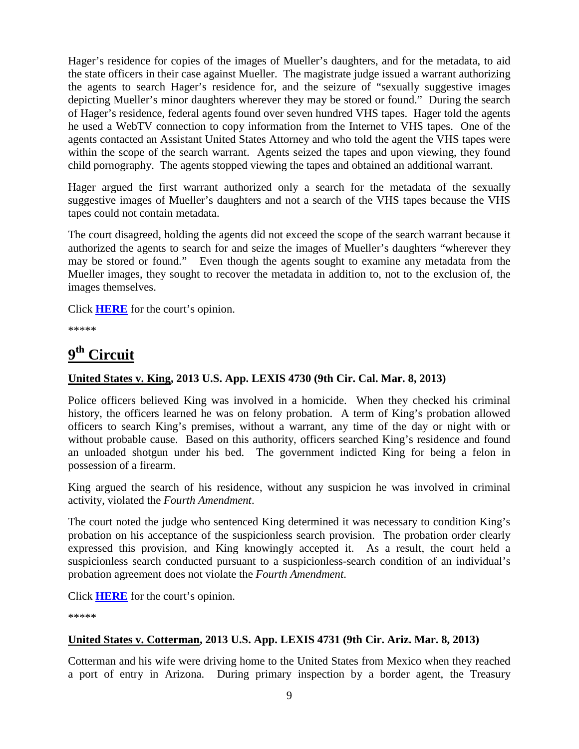Hager's residence for copies of the images of Mueller's daughters, and for the metadata, to aid the state officers in their case against Mueller. The magistrate judge issued a warrant authorizing the agents to search Hager's residence for, and the seizure of "sexually suggestive images depicting Mueller's minor daughters wherever they may be stored or found." During the search of Hager's residence, federal agents found over seven hundred VHS tapes. Hager told the agents he used a WebTV connection to copy information from the Internet to VHS tapes. One of the agents contacted an Assistant United States Attorney and who told the agent the VHS tapes were within the scope of the search warrant. Agents seized the tapes and upon viewing, they found child pornography. The agents stopped viewing the tapes and obtained an additional warrant.

Hager argued the first warrant authorized only a search for the metadata of the sexually suggestive images of Mueller's daughters and not a search of the VHS tapes because the VHS tapes could not contain metadata.

The court disagreed, holding the agents did not exceed the scope of the search warrant because it authorized the agents to search for and seize the images of Mueller's daughters "wherever they may be stored or found." Even though the agents sought to examine any metadata from the Mueller images, they sought to recover the metadata in addition to, not to the exclusion of, the images themselves.

Click **[HERE](http://docs.justia.com/cases/federal/appellate-courts/ca8/12-2074/12-2074-2013-03-29.pdf)** for the court's opinion.

\*\*\*\*\*

# <span id="page-11-0"></span>**9th Circuit**

#### **United States v. King, 2013 U.S. App. LEXIS 4730 (9th Cir. Cal. Mar. 8, 2013)**

Police officers believed King was involved in a homicide. When they checked his criminal history, the officers learned he was on felony probation. A term of King's probation allowed officers to search King's premises, without a warrant, any time of the day or night with or without probable cause. Based on this authority, officers searched King's residence and found an unloaded shotgun under his bed. The government indicted King for being a felon in possession of a firearm.

King argued the search of his residence, without any suspicion he was involved in criminal activity, violated the *Fourth Amendment*.

The court noted the judge who sentenced King determined it was necessary to condition King's probation on his acceptance of the suspicionless search provision. The probation order clearly expressed this provision, and King knowingly accepted it. As a result, the court held a suspicionless search conducted pursuant to a suspicionless-search condition of an individual's probation agreement does not violate the *Fourth Amendment*.

Click **[HERE](http://docs.justia.com/cases/federal/appellate-courts/ca9/11-10182/11-10182-2013-03-08.pdf)** for the court's opinion.

\*\*\*\*\*

#### **United States v. Cotterman, 2013 U.S. App. LEXIS 4731 (9th Cir. Ariz. Mar. 8, 2013)**

Cotterman and his wife were driving home to the United States from Mexico when they reached a port of entry in Arizona. During primary inspection by a border agent, the Treasury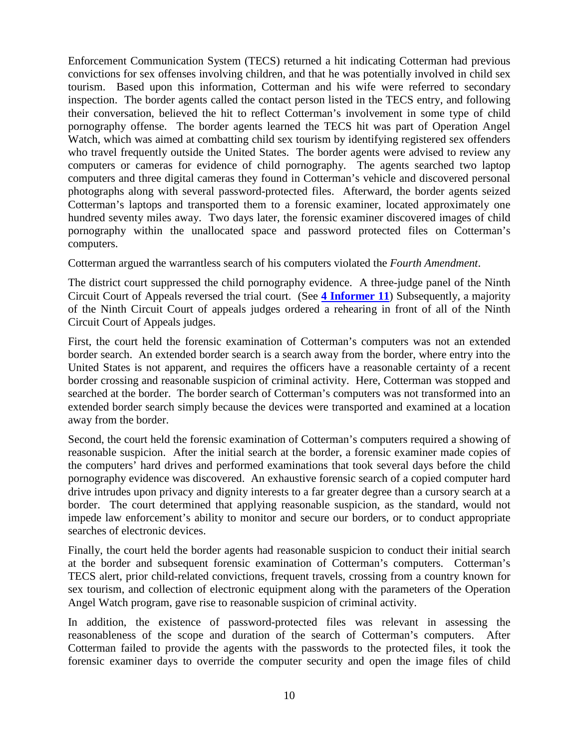Enforcement Communication System (TECS) returned a hit indicating Cotterman had previous convictions for sex offenses involving children, and that he was potentially involved in child sex tourism. Based upon this information, Cotterman and his wife were referred to secondary inspection. The border agents called the contact person listed in the TECS entry, and following their conversation, believed the hit to reflect Cotterman's involvement in some type of child pornography offense. The border agents learned the TECS hit was part of Operation Angel Watch, which was aimed at combatting child sex tourism by identifying registered sex offenders who travel frequently outside the United States. The border agents were advised to review any computers or cameras for evidence of child pornography. The agents searched two laptop computers and three digital cameras they found in Cotterman's vehicle and discovered personal photographs along with several password-protected files. Afterward, the border agents seized Cotterman's laptops and transported them to a forensic examiner, located approximately one hundred seventy miles away. Two days later, the forensic examiner discovered images of child pornography within the unallocated space and password protected files on Cotterman's computers.

Cotterman argued the warrantless search of his computers violated the *Fourth Amendment*.

The district court suppressed the child pornography evidence. A three-judge panel of the Ninth Circuit Court of Appeals reversed the trial court. (See **[4 Informer](http://www.fletc.gov/training/programs/legal-division/the-informer/informer-editions-2011/4Informer11.pdf/view) 11**) Subsequently, a majority of the Ninth Circuit Court of appeals judges ordered a rehearing in front of all of the Ninth Circuit Court of Appeals judges.

First, the court held the forensic examination of Cotterman's computers was not an extended border search. An extended border search is a search away from the border, where entry into the United States is not apparent, and requires the officers have a reasonable certainty of a recent border crossing and reasonable suspicion of criminal activity. Here, Cotterman was stopped and searched at the border. The border search of Cotterman's computers was not transformed into an extended border search simply because the devices were transported and examined at a location away from the border.

Second, the court held the forensic examination of Cotterman's computers required a showing of reasonable suspicion. After the initial search at the border, a forensic examiner made copies of the computers' hard drives and performed examinations that took several days before the child pornography evidence was discovered. An exhaustive forensic search of a copied computer hard drive intrudes upon privacy and dignity interests to a far greater degree than a cursory search at a border. The court determined that applying reasonable suspicion, as the standard, would not impede law enforcement's ability to monitor and secure our borders, or to conduct appropriate searches of electronic devices.

Finally, the court held the border agents had reasonable suspicion to conduct their initial search at the border and subsequent forensic examination of Cotterman's computers. Cotterman's TECS alert, prior child-related convictions, frequent travels, crossing from a country known for sex tourism, and collection of electronic equipment along with the parameters of the Operation Angel Watch program, gave rise to reasonable suspicion of criminal activity.

In addition, the existence of password-protected files was relevant in assessing the reasonableness of the scope and duration of the search of Cotterman's computers. After Cotterman failed to provide the agents with the passwords to the protected files, it took the forensic examiner days to override the computer security and open the image files of child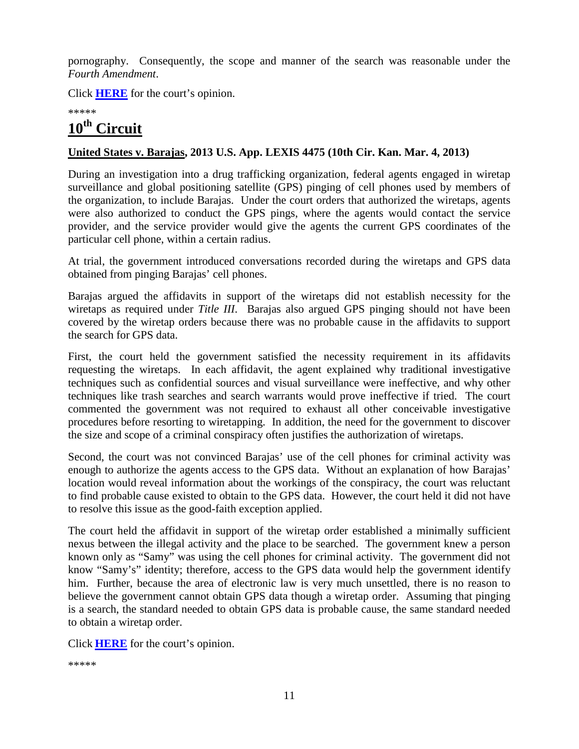pornography. Consequently, the scope and manner of the search was reasonable under the *Fourth Amendment*.

Click **[HERE](http://docs.justia.com/cases/federal/appellate-courts/ca9/09-10139/09-10139-2013-03-08.pdf)** for the court's opinion.

\*\*\*\*\*

## <span id="page-13-0"></span>**10th Circuit**

#### **United States v. Barajas, 2013 U.S. App. LEXIS 4475 (10th Cir. Kan. Mar. 4, 2013)**

During an investigation into a drug trafficking organization, federal agents engaged in wiretap surveillance and global positioning satellite (GPS) pinging of cell phones used by members of the organization, to include Barajas. Under the court orders that authorized the wiretaps, agents were also authorized to conduct the GPS pings, where the agents would contact the service provider, and the service provider would give the agents the current GPS coordinates of the particular cell phone, within a certain radius.

At trial, the government introduced conversations recorded during the wiretaps and GPS data obtained from pinging Barajas' cell phones.

Barajas argued the affidavits in support of the wiretaps did not establish necessity for the wiretaps as required under *Title III*. Barajas also argued GPS pinging should not have been covered by the wiretap orders because there was no probable cause in the affidavits to support the search for GPS data.

First, the court held the government satisfied the necessity requirement in its affidavits requesting the wiretaps. In each affidavit, the agent explained why traditional investigative techniques such as confidential sources and visual surveillance were ineffective, and why other techniques like trash searches and search warrants would prove ineffective if tried. The court commented the government was not required to exhaust all other conceivable investigative procedures before resorting to wiretapping. In addition, the need for the government to discover the size and scope of a criminal conspiracy often justifies the authorization of wiretaps.

Second, the court was not convinced Barajas' use of the cell phones for criminal activity was enough to authorize the agents access to the GPS data. Without an explanation of how Barajas' location would reveal information about the workings of the conspiracy, the court was reluctant to find probable cause existed to obtain to the GPS data. However, the court held it did not have to resolve this issue as the good-faith exception applied.

The court held the affidavit in support of the wiretap order established a minimally sufficient nexus between the illegal activity and the place to be searched. The government knew a person known only as "Samy" was using the cell phones for criminal activity. The government did not know "Samy's" identity; therefore, access to the GPS data would help the government identify him. Further, because the area of electronic law is very much unsettled, there is no reason to believe the government cannot obtain GPS data though a wiretap order. Assuming that pinging is a search, the standard needed to obtain GPS data is probable cause, the same standard needed to obtain a wiretap order.

Click **[HERE](http://docs.justia.com/cases/federal/appellate-courts/ca10/12-3003/12-3003-2013-03-04.pdf)** for the court's opinion.

\*\*\*\*\*